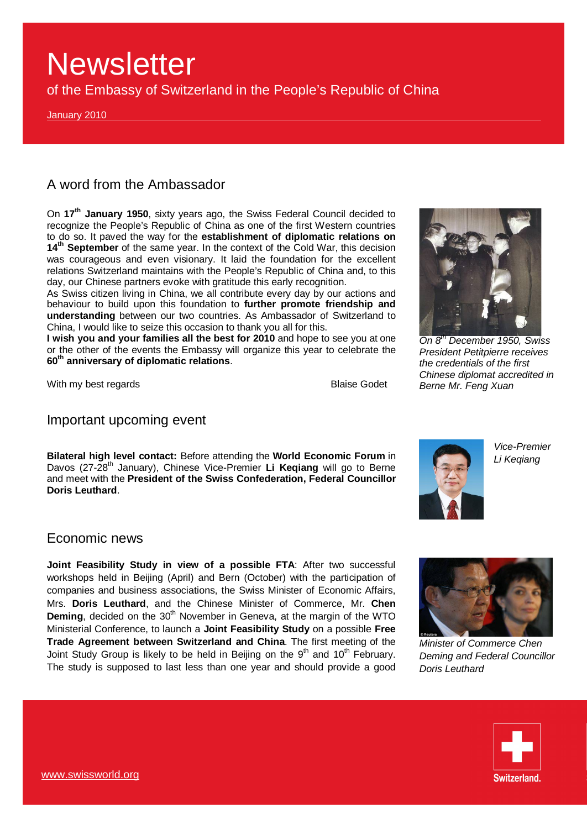of the Embassy of Switzerland in the People's Republic of China

January 2010

## A word from the Ambassador

On **17th January 1950**, sixty years ago, the Swiss Federal Council decided to recognize the People's Republic of China as one of the first Western countries to do so. It paved the way for the **establishment of diplomatic relations on 14th September** of the same year. In the context of the Cold War, this decision was courageous and even visionary. It laid the foundation for the excellent relations Switzerland maintains with the People's Republic of China and, to this day, our Chinese partners evoke with gratitude this early recognition.

As Swiss citizen living in China, we all contribute every day by our actions and behaviour to build upon this foundation to **further promote friendship and understanding** between our two countries. As Ambassador of Switzerland to China, I would like to seize this occasion to thank you all for this.

**I wish you and your families all the best for 2010** and hope to see you at one or the other of the events the Embassy will organize this year to celebrate the **60th anniversary of diplomatic relations**.

With my best regards **Blaise Godet** 



*On 8th December 1950, Swiss President Petitpierre receives the credentials of the first Chinese diplomat accredited in Berne Mr. Feng Xuan* 

### Important upcoming event

**Bilateral high level contact:** Before attending the **World Economic Forum** in Davos (27-28<sup>th</sup> January), Chinese Vice-Premier Li Keqiang will go to Berne and meet with the **President of the Swiss Confederation, Federal Councillor Doris Leuthard**.



*Vice-Premier Li Keqiang* 

### Economic news

**Joint Feasibility Study in view of a possible FTA**: After two successful workshops held in Beijing (April) and Bern (October) with the participation of companies and business associations, the Swiss Minister of Economic Affairs, Mrs. **Doris Leuthard**, and the Chinese Minister of Commerce, Mr. **Chen Deming**, decided on the 30<sup>th</sup> November in Geneva, at the margin of the WTO Ministerial Conference, to launch a **Joint Feasibility Study** on a possible **Free Trade Agreement between Switzerland and China**. The first meeting of the Joint Study Group is likely to be held in Beijing on the  $9<sup>th</sup>$  and  $10<sup>th</sup>$  February. The study is supposed to last less than one year and should provide a good



*Minister of Commerce Chen Deming and Federal Councillor Doris Leuthard* 

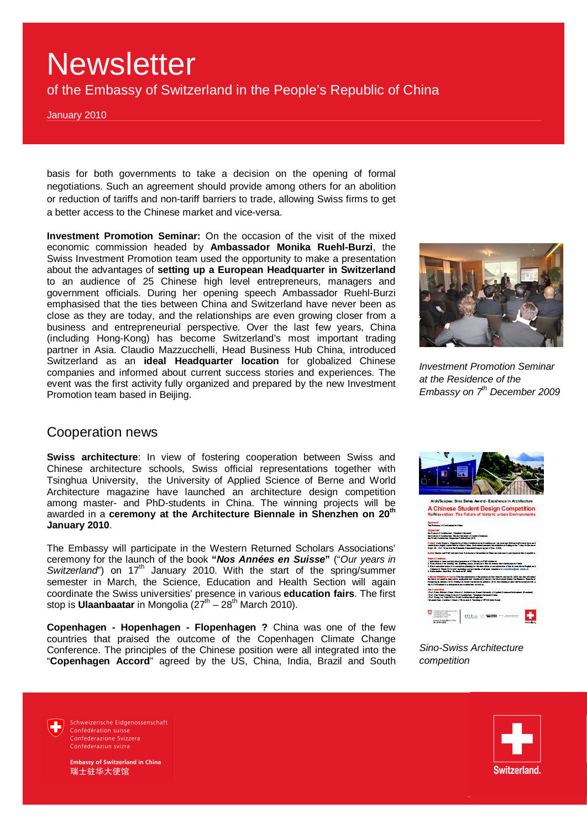of the Embassy of Switzerland in the People's Republic of China

January 2010

basis for both governments to take a decision on the opening of formal negotiations. Such an agreement should provide among others for an abolition or reduction of tariffs and non-tariff barriers to trade, allowing Swiss firms to get a better access to the Chinese market and vice-versa.

**Investment Promotion Seminar:** On the occasion of the visit of the mixed economic commission headed by **Ambassador Monika Ruehl-Burzi**, the Swiss Investment Promotion team used the opportunity to make a presentation about the advantages of **setting up a European Headquarter in Switzerland** to an audience of 25 Chinese high level entrepreneurs, managers and government officials. During her opening speech Ambassador Ruehl-Burzi emphasised that the ties between China and Switzerland have never been as close as they are today, and the relationships are even growing closer from a business and entrepreneurial perspective. Over the last few years, China (including Hong-Kong) has become Switzerland's most important trading partner in Asia. Claudio Mazzucchelli, Head Business Hub China, introduced Switzerland as an **ideal Headquarter location** for globalized Chinese companies and informed about current success stories and experiences. The event was the first activity fully organized and prepared by the new Investment Promotion team based in Beijing.



*Investment Promotion Seminar at the Residence of the Embassy on 7th December 2009*

#### Cooperation news

**Swiss architecture**: In view of fostering cooperation between Swiss and Chinese architecture schools, Swiss official representations together with Tsinghua University, the University of Applied Science of Berne and World Architecture magazine have launched an architecture design competition among master- and PhD-students in China. The winning projects will be awarded in a **ceremony at the Architecture Biennale in Shenzhen on 20th January 2010**.

The Embassy will participate in the Western Returned Scholars Associations' ceremony for the launch of the book **"***Nos Années en Suisse***"** ("*Our years in Switzerland*") on 17<sup>th</sup> January 2010. With the start of the spring/summer semester in March, the Science, Education and Health Section will again coordinate the Swiss universities' presence in various **education fairs**. The first stop is **Ulaanbaatar** in Mongolia (27<sup>th</sup> – 28<sup>th</sup> March 2010).

**Copenhagen - Hopenhagen - Flopenhagen ?** China was one of the few countries that praised the outcome of the Copenhagen Climate Change Conference. The principles of the Chinese position were all integrated into the "**Copenhagen Accord**" agreed by the US, China, India, Brazil and South



*Sino-Swiss Architecture competition* 

Schweizerische Fidgenossenschaft Confédération suisse Confederazione Svizzera Confederaziun svizra



**Embassy of Switzerland in China** 瑞士驻华大使馆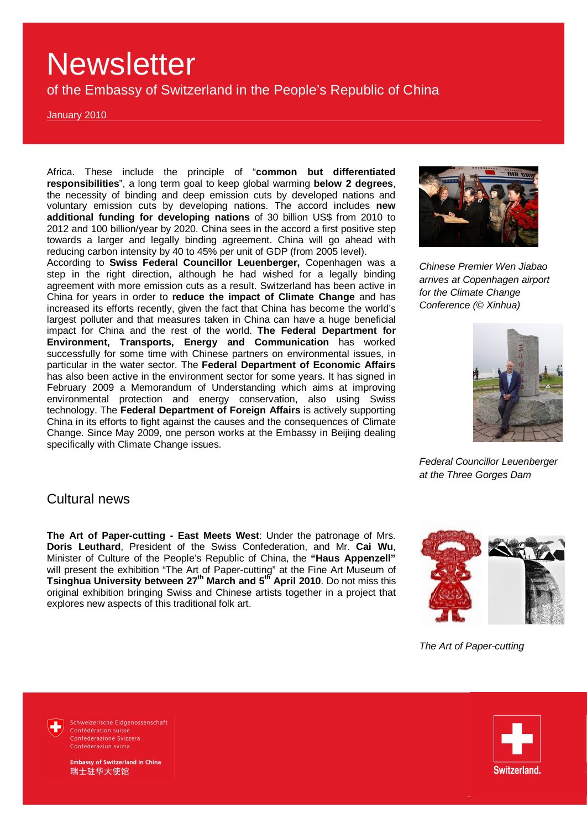of the Embassy of Switzerland in the People's Republic of China

January 2010

Africa. These include the principle of "**common but differentiated responsibilities**", a long term goal to keep global warming **below 2 degrees**, the necessity of binding and deep emission cuts by developed nations and voluntary emission cuts by developing nations. The accord includes **new additional funding for developing nations** of 30 billion US\$ from 2010 to 2012 and 100 billion/year by 2020. China sees in the accord a first positive step towards a larger and legally binding agreement. China will go ahead with reducing carbon intensity by 40 to 45% per unit of GDP (from 2005 level).

According to **Swiss Federal Councillor Leuenberger,** Copenhagen was a step in the right direction, although he had wished for a legally binding agreement with more emission cuts as a result. Switzerland has been active in China for years in order to **reduce the impact of Climate Change** and has increased its efforts recently, given the fact that China has become the world's largest polluter and that measures taken in China can have a huge beneficial impact for China and the rest of the world. **The Federal Department for Environment, Transports, Energy and Communication** has worked successfully for some time with Chinese partners on environmental issues, in particular in the water sector. The **Federal Department of Economic Affairs** has also been active in the environment sector for some years. It has signed in February 2009 a Memorandum of Understanding which aims at improving environmental protection and energy conservation, also using Swiss technology. The **Federal Department of Foreign Affairs** is actively supporting China in its efforts to fight against the causes and the consequences of Climate Change. Since May 2009, one person works at the Embassy in Beijing dealing specifically with Climate Change issues.



*Chinese Premier Wen Jiabao arrives at Copenhagen airport for the Climate Change Conference (© Xinhua)* 



*Federal Councillor Leuenberger at the Three Gorges Dam* 

#### Cultural news

**The Art of Paper-cutting - East Meets West**: Under the patronage of Mrs. **Doris Leuthard**, President of the Swiss Confederation, and Mr. **Cai Wu**, Minister of Culture of the People's Republic of China, the **"Haus Appenzell"** will present the exhibition "The Art of Paper-cutting" at the Fine Art Museum of **Tsinghua University between 27th March and 5th April 2010**. Do not miss this original exhibition bringing Swiss and Chinese artists together in a project that explores new aspects of this traditional folk art.



*The Art of Paper-cutting* 



Schweizerische Eidgenossenschaft Confédération suisse Confederazione Svizzera Confederaziun svizra



**Embassy of Switzerland in China** 瑞士驻华大使馆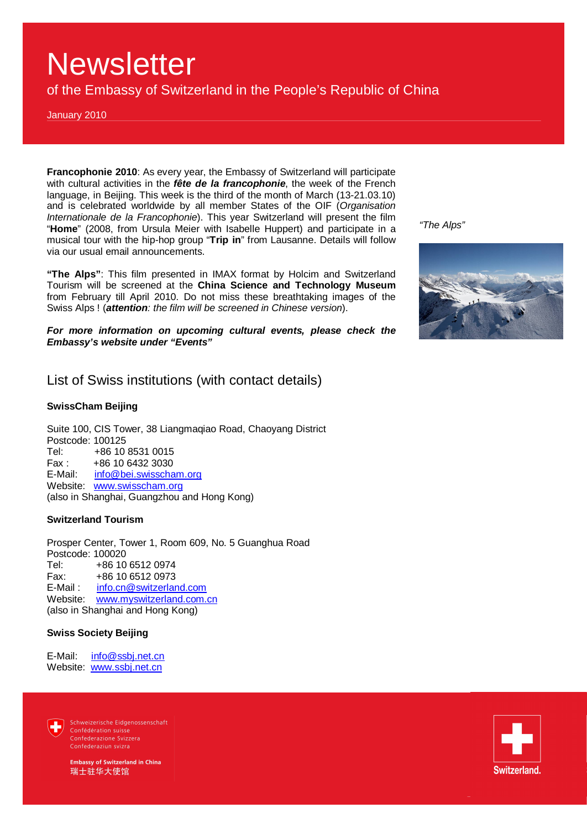of the Embassy of Switzerland in the People's Republic of China

January 2010

**Francophonie 2010**: As every year, the Embassy of Switzerland will participate with cultural activities in the *fête de la francophonie*, the week of the French language, in Beijing. This week is the third of the month of March (13-21.03.10) and is celebrated worldwide by all member States of the OIF (*Organisation Internationale de la Francophonie*). This year Switzerland will present the film "**Home**" (2008, from Ursula Meier with Isabelle Huppert) and participate in a musical tour with the hip-hop group "**Trip in**" from Lausanne. Details will follow via our usual email announcements.

**"The Alps"**: This film presented in IMAX format by Holcim and Switzerland Tourism will be screened at the **China Science and Technology Museum** from February till April 2010. Do not miss these breathtaking images of the Swiss Alps ! (*attention: the film will be screened in Chinese version*).

*For more information on upcoming cultural events, please check the Embassy's website under "Events"* 

### List of Swiss institutions (with contact details)

#### **SwissCham Beijing**

Suite 100, CIS Tower, 38 Liangmaqiao Road, Chaoyang District Postcode: 100125<br>Tel: +86.10 +86 10 8531 0015 Fax : +86 10 6432 3030<br>E-Mail: info@bei.swisscha [info@bei.swisscham.org](mailto:info@bei.swisscham.org) Website: [www.swisscham.org](http://www.swisscham.org) (also in Shanghai, Guangzhou and Hong Kong)

#### **Switzerland Tourism**

Prosper Center, Tower 1, Room 609, No. 5 Guanghua Road Postcode: 100020 Tel: +86 10 6512 0974 Fax: +86 10 6512 0973 E-Mail: [info.cn@switzerland.com](mailto:info.cn@switzerland.com) Website: [www.myswitzerland.com.cn](http://www.myswitzerland.com.cn) (also in Shanghai and Hong Kong)

#### **Swiss Society Beijing**

E-Mail: [info@ssbj.net.cn](mailto:info@ssbj.net.cn) Website: [www.ssbj.net.cn](http://www.ssbj.net.cn)

> Schweizerische Eidgenossenschaft Confédération suisse Confederazione Svizzera Confederaziun svizra

**Embassy of Switzerland in China** 瑞士驻华大使馆





*"The Alps"*